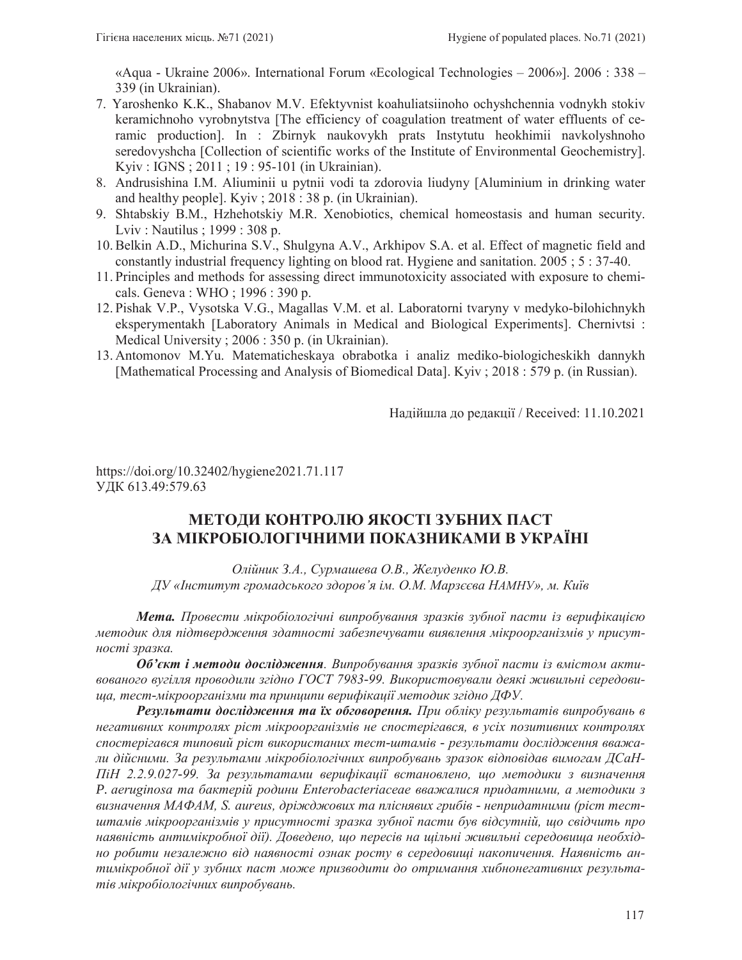«Aqua - Ukraine 2006». International Forum «Ecological Technologies – 2006»]. 2006 : 338 – 339 (in Ukrainian).

- 7. Yaroshenko K.K., Shabanov M.V. Efektyvnist koahuliatsiinoho ochyshchennia vodnykh stokiv keramichnoho vyrobnytstva [The efficiency of coagulation treatment of water effluents of ceramic production]. In : Zbirnyk naukovykh prats Instytutu heokhimii navkolyshnoho seredovyshcha [Collection of scientific works of the Institute of Environmental Geochemistry]. Kyiv : IGNS ; 2011 ; 19 : 95-101 (in Ukrainian).
- 8. Andrusishina I.M. Aliuminii u pytnii vodi ta zdorovia liudyny [Aluminium in drinking water and healthy people]. Kyiv ; 2018 : 38 p. (in Ukrainian).
- 9. Shtabskiy B.M., Hzhehotskiy M.R. Xenobiotics, chemical homeostasis and human security. Lviv : Nautilus ; 1999 : 308 p.
- 10. Belkin A.D., Michurina S.V., Shulgyna A.V., Arkhipov S.A. et al. Effect of magnetic field and constantly industrial frequency lighting on blood rat. Hygiene and sanitation. 2005 ; 5 : 37-40.
- 11. Principles and methods for assessing direct immunotoxicity associated with exposure to chemicals. Geneva: WHO; 1996: 390 p.
- 12. Pishak V.P., Vysotska V.G., Magallas V.M. et al. Laboratorni tvaryny v medyko-bilohichnykh eksperymentakh [Laboratory Animals in Medical and Biological Experiments]. Chernivtsi : Medical University ; 2006 : 350 p. (in Ukrainian).
- 13. Antomonov M.Yu. Matematicheskaya obrabotka i analiz mediko-biologicheskikh dannykh [Mathematical Processing and Analysis of Biomedical Data]. Kyiv ; 2018 : 579 p. (in Russian).

Надійшла до редакції / Received: 11.10.2021

https://doi.org/10.32402/hygiene2021.71.117 УДК 613.49:579.63

# МЕТОДИ КОНТРОЛЮ ЯКОСТІ ЗУБНИХ ПАСТ ЗА МІКРОБІОЛОГІЧНИМИ ПОКАЗНИКАМИ В УКРАЇНІ

Олійник З.А., Сурмашева О.В., Желуденко Ю.В.  $\overline{A}$ У «Інститут громадського здоров'я ім. О.М. Марзєєва НАМНУ», м. Київ

**Мета.** Провести мікробіологічні випробування зразків зубної пасти із верифікацією методик для підтвердження здатності забезпечувати виявлення мікроорганізмів у присутності зразка.

**Об'єкт і методи дослідження**. Випробування зразків зубної пасти із вмістом активованого вугілля проводили згідно ГОСТ 7983-99. Використовували деякі живильні середови- $\mu\mu$ а, тест-мікроорганізми та принципи верифікації методик згідно ДФУ.

**Результати дослідження та їх обговорення.** При обліку результатів випробувань в негативних контролях ріст мікроорганізмів не спостерігався, в усіх позитивних контролях спостерігався типовий ріст використаних тест-штамів - результати дослідження вважа*ли дійсними. За результами мікробіологічних випробувань зразок відповідав вимогам ДСаН*  $\Pi$ iH 2.2.9.027-99. За результатами верифікації встановлено, що методики з визначення P. aeruginosa та бактерій родини Enterobacteriaceae вважалися придатними, а методики з *ɜɢɡɧɚɱɟɧɧɹɆȺɎȺɆ6DXUHXVɞɪɿɠɞɠɨɜɢɯɬɚɩɥɿɫɧɹɜɢɯɝɪɢɛɿɜ- ɧɟɩɪɢɞɚɬɧɢɦɢɪɿɫɬɬɟɫɬ*штамів мікроорганізмів у присутності зразка зубної пасти був відсутній, що свідчить про наявність антимікробної дії). Доведено, що пересів на щільні живильні середовища необхідно робити незалежно від наявності ознак росту в середовищі накопичення. Наявність антимікробної дії у зубних паст може призводити до отримання хибнонегативних результатів мікробіологічних випробувань.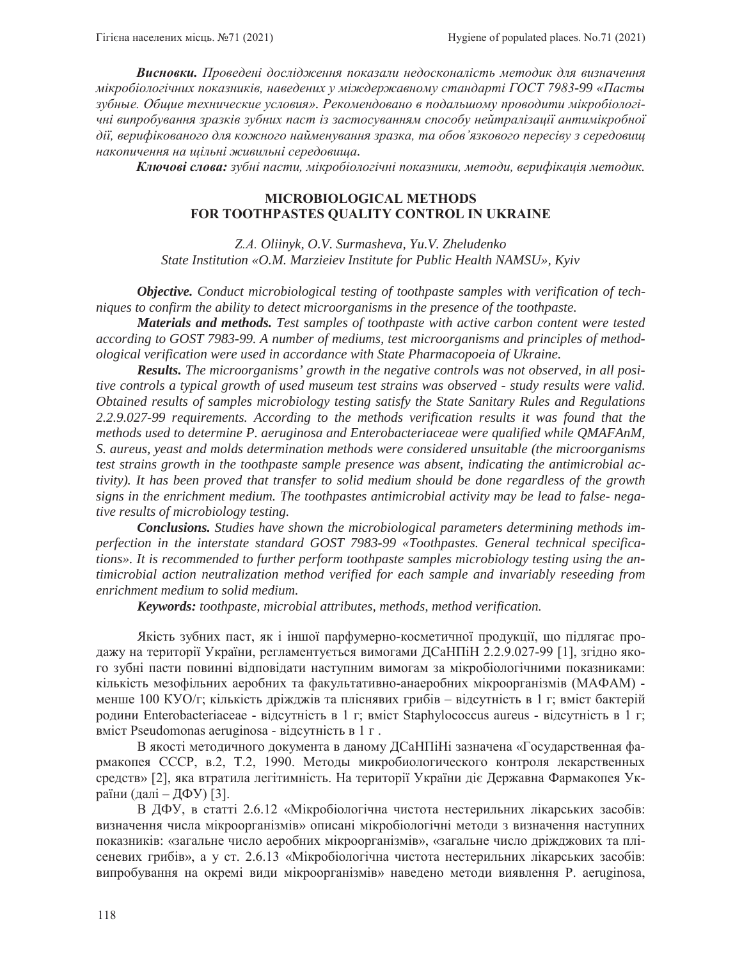**Висновки.** Проведені дослідження показали недосконалість методик для визначення мікробіологічних показників, наведених у міждержавному стандарті ГОСТ 7983-99 «Пасты зубные. Общие технические условия». Рекомендовано в подальшому проводити мікробіологічні випробування зразків зубних паст із застосуванням способу нейтралізації антимікробної дії, верифікованого для кожного найменування зразка, та обов'язкового пересіву з середовищ *ɧɚɤɨɩɢɱɟɧɧɹɧɚɳɿɥɶɧɿɠɢɜɢɥɶɧɿɫɟɪɟɞɨɜɢɳɚ.* 

**Ключові слова:** зубні пасти, мікробіологічні показники, методи, верифікація методик.

### **MICROBIOLOGICAL METHODS FOR TOOTHPASTES QUALITY CONTROL IN UKRAINE**

*ZȺ Oliinyk, O.V. Surmasheva, Yu.V. Zheludenko State Institution «O.M. Marzieiev Institute for Public Health NAMSU», Kyiv*

*Objective. Conduct microbiological testing of toothpaste samples with verification of techniques to confirm the ability to detect microorganisms in the presence of the toothpaste.* 

*Materials and methods. Test samples of toothpaste with active carbon content were tested according to GOST 7983-99. A number of mediums, test microorganisms and principles of methodological verification were used in accordance with State Pharmacopoeia of Ukraine.* 

*Results. The microorganisms' growth in the negative controls was not observed, in all positive controls a typical growth of used museum test strains was observed - study results were valid. Obtained results of samples microbiology testing satisfy the State Sanitary Rules and Regulations 2.2.9.027-99 requirements. According to the methods verification results it was found that the methods used to determine P. aeruginosa and Enterobacteriaceae were qualified while QMAFAnM, S. aureus, yeast and molds determination methods were considered unsuitable (the microorganisms test strains growth in the toothpaste sample presence was absent, indicating the antimicrobial activity). It has been proved that transfer to solid medium should be done regardless of the growth signs in the enrichment medium. The toothpastes antimicrobial activity may be lead to false- negative results of microbiology testing.*

*Conclusions. Studies have shown the microbiological parameters determining methods imperfection in the interstate standard GOST 7983-99 «Toothpastes. General technical specifications». It is recommended to further perform toothpaste samples microbiology testing using the antimicrobial action neutralization method verified for each sample and invariably reseeding from enrichment medium to solid medium.* 

*Keywords: toothpaste, microbial attributes, methods, method verification.*

Якість зубних паст, як і іншої парфумерно-косметичної продукції, що підлягає продажу на території України, регламентується вимогами ДСаНПіН 2.2.9.027-99 [1], згідно якого зубні пасти повинні відповідати наступним вимогам за мікробіологічними показниками: кількість мезофільних аеробних та факультативно-анаеробних мікроорганізмів (МАФАМ) менше 100 КУО/г; кількість дріжджів та пліснявих грибів - відсутність в 1 г; вміст бактерій родини Enterobacteriaceae - відсутність в 1 г; вміст Staphylococcus aureus - відсутність в 1 г; BMICT Pseudomonas aeruginosa - відсутність в 1 г.

В якості методичного документа в даному ДСаНПіНі зазначена «Государственная фармакопея СССР, в.2, Т.2, 1990. Методы микробиологического контроля лекарственных средств» [2], яка втратила легітимність. На території України діє Державна Фармакопея України (далі – ДФУ) [3].

В ДФУ, в статті 2.6.12 «Мікробіологічна чистота нестерильних лікарських засобів: визначення числа мікроорганізмів» описані мікробіологічні методи з визначення наступних показників: «загальне число аеробних мікроорганізмів», «загальне число дріжджових та плісеневих грибів», а у ст. 2.6.13 «Мікробіологічна чистота нестерильних лікарських засобів: випробування на окремі види мікроорганізмів» наведено методи виявлення P. aeruginosa,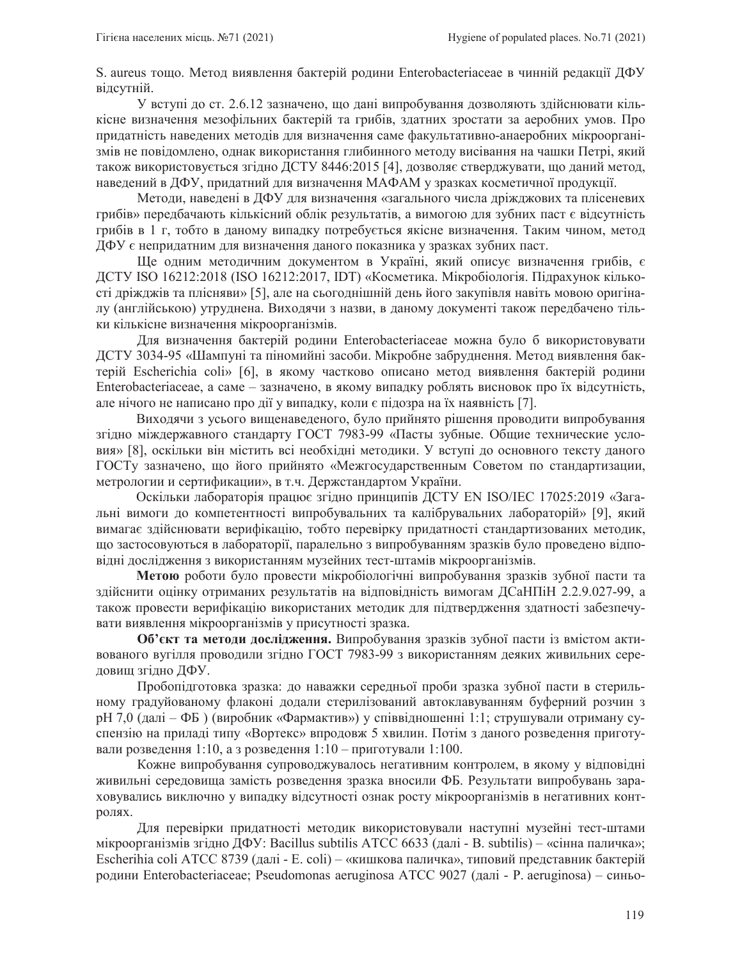S. aureus тощо. Метод виявлення бактерій родини Enterobacteriaceae в чинній редакції ДФУ відсутній.

У вступі до ст. 2.6.12 зазначено, що дані випробування дозволяють здійснювати кількісне визначення мезофільних бактерій та грибів, здатних зростати за аеробних умов. Про придатність наведених методів для визначення саме факультативно-анаеробних мікроорганізмів не повідомлено, однак використання глибинного методу висівання на чашки Петрі, який також використовується згідно ДСТУ 8446:2015 [4], дозволяє стверджувати, що даний метод, наведений в ДФУ, придатний для визначення МАФАМ у зразках косметичної продукції.

Методи, наведені в ДФУ для визначення «загального числа дріжджових та плісеневих грибів» передбачають кількісний облік результатів, а вимогою для зубних паст є відсутність грибів в 1 г, тобто в даному випадку потребується якісне визначення. Таким чином, метод ДФУ є непридатним для визначення даного показника у зразках зубних паст.

Ше одним методичним документом в Україні, який описує визначення грибів, є ДСТУ ISO 16212:2018 (ISO 16212:2017, IDT) «Косметика. Мікробіологія. Підрахунок кількості дріжджів та плісняви» [5], але на сьогоднішній день його закупівля навіть мовою оригіналу (англійською) утруднена. Виходячи з назви, в даному документі також передбачено тільки кількісне визначення мікроорганізмів.

Для визначення бактерій родини Enterobacteriaceae можна було б використовувати ДСТУ 3034-95 «Шампуні та піномийні засоби. Мікробне забруднення. Метод виявлення бактерій Escherichia coli» [6], в якому частково описано метод виявлення бактерій родини Enterobacteriaceae, а саме – зазначено, в якому випадку роблять висновок про їх відсутність, але нічого не написано про дії у випадку, коли є підозра на їх наявність [7].

Виходячи з усього вищенаведеного, було прийнято рішення проводити випробування згідно міждержавного стандарту ГОСТ 7983-99 «Пасты зубные. Общие технические условия» [8], оскільки він містить всі необхідні методики. У вступі до основного тексту даного ГОСТу зазначено, що його прийнято «Межгосударственным Советом по стандартизации, метрологии и сертификации», в т.ч. Держстандартом України.

Оскільки лабораторія працює згідно принципів ДСТУ EN ISO/IEC 17025:2019 «Загальні вимоги до компетентності випробувальних та калібрувальних лабораторій» [9], який вимагає здійснювати верифікацію, тобто перевірку придатності стандартизованих методик, що застосовуються в лабораторії, паралельно з випробуванням зразків було проведено відповідні дослідження з використанням музейних тест-штамів мікроорганізмів.

**Метою** роботи було провести мікробіологічні випробування зразків зубної пасти та здійснити оцінку отриманих результатів на відповідність вимогам ДСаНПіН 2.2.9.027-99, а також провести верифікацію використаних методик для підтвердження здатності забезпечувати виявлення мікроорганізмів у присутності зразка.

Об'єкт та методи дослідження. Випробування зразків зубної пасти із вмістом активованого вугілля проводили згідно ГОСТ 7983-99 з використанням деяких живильних середовищ згідно ДФУ.

Пробопідготовка зразка: до наважки середньої проби зразка зубної пасти в стерильному градуйованому флаконі додали стерилізований автоклавуванням буферний розчин з рН 7,0 (далі – ФБ) (виробник «Фармактив») у співвідношенні 1:1; струшували отриману суспензію на приладі типу «Вортекс» впродовж 5 хвилин. Потім з даного розведення приготували розведення 1:10, а з розведення 1:10 – приготували 1:100.

Кожне випробування супроводжувалось негативним контролем, в якому у відповідні живильні середовища замість розведення зразка вносили ФБ. Результати випробувань зараховувались виключно у випадку відсутності ознак росту мікроорганізмів в негативних контролях.

Для перевірки придатності методик використовували наступні музейні тест-штами мікроорганізмів згідно ДФУ: Bacillus subtilis ATCC 6633 (далі - В. subtilis) – «сінна паличка»; Escherihia coli ATCC 8739 (далі - E. coli) – «кишкова паличка», типовий представник бактерій родини Enterobacteriaceae; Pseudomonas aeruginosa ATCC 9027 (далі - Р. aeruginosa) – синьо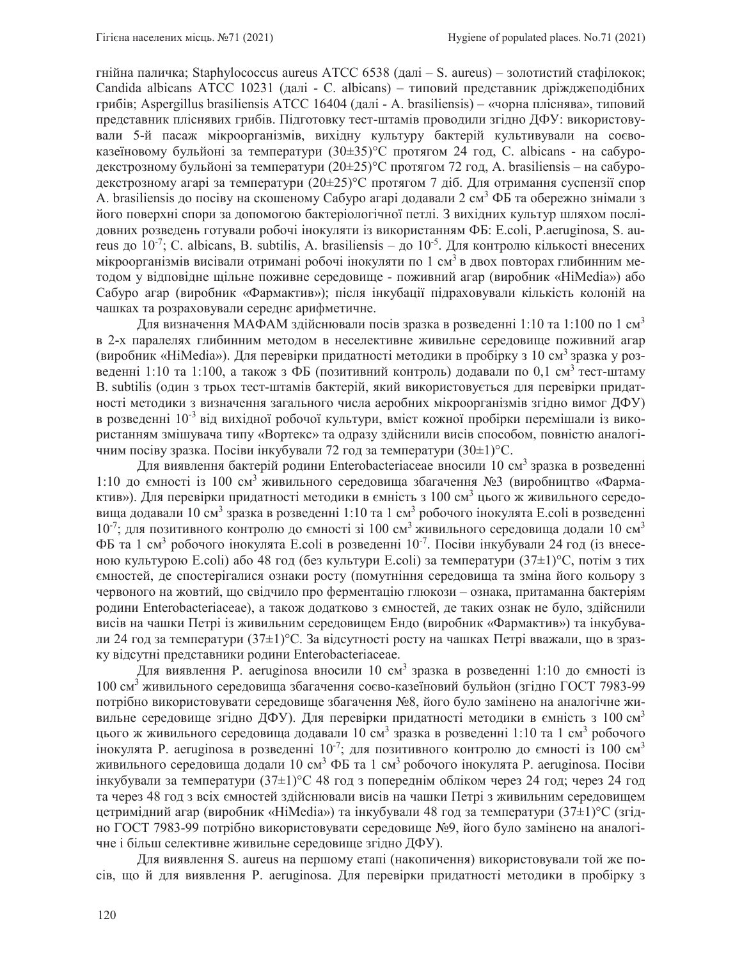гнійна паличка; Staphylococcus aureus ATCC 6538 (далі – S. aureus) – золотистий стафілокок; Candida albicans ATCC 10231 (далі - C. albicans) – типовий представник дріжджеподібних грибів; Aspergillus brasiliensis ATCC 16404 (далі - A. brasiliensis) – «чорна пліснява», типовий представник пліснявих грибів. Підготовку тест-штамів проводили згідно ДФУ: використовували 5-й пасаж мікроорганізмів, вихідну культуру бактерій культивували на соєвоказеїновому бульйоні за температури (30 $\pm$ 35)°С протягом 24 год, С. albicans - на сабуродекстрозному бульйоні за температури  $(20\pm 25)$ °С протягом 72 год, A. brasiliensis – на сабуродекстрозному агарі за температури (20±25)°С протягом 7 діб. Для отримання суспензії спор A. brasiliensis до посіву на скошеному Сабуро агарі додавали 2 см<sup>3</sup> ФБ та обережно знімали з його поверхні спори за допомогою бактеріологічної петлі. З вихідних культур шляхом послідовних розведень готували робочі інокуляти із використанням ФБ: E.coli, P.aeruginosa, S. aureus до  $10^{-7}$ ; C. albicans, B. subtilis, A. brasiliensis – до  $10^{-5}$ . Для контролю кількості внесених мікроорганізмів висівали отримані робочі інокуляти по 1 см<sup>3</sup> в двох повторах глибинним методом у відповідне щільне поживне середовище - поживний агар (виробник «HiMedia») або Сабуро агар (виробник «Фармактив»); після інкубації підраховували кількість колоній на чашках та розраховували середнє арифметичне.

Для визначення МАФАМ здійснювали посів зразка в розведенні 1:10 та 1:100 по 1 см<sup>3</sup> в 2-х паралелях глибинним методом в неселективне живильне середовище поживний агар (виробник «HiMedia»). Для перевірки придатності методики в пробірку з 10 см<sup>3</sup> зразка у розведенні 1:10 та 1:100, а також з ФБ (позитивний контроль) додавали по 0,1 см<sup>3</sup> тест-штаму B. subtilis (один з трьох тест-штамів бактерій, який використовується для перевірки придатності методики з визначення загального числа аеробних мікроорганізмів згідно вимог ДФУ) в розведенні  $10^{-3}$ від вихідної робочої культури, вміст кожної пробірки перемішали із використанням змішувача типу «Вортекс» та одразу здійснили висів способом, повністю аналогічним посіву зразка. Посіви інкубували 72 год за температури (30 $\pm$ 1) $^{\circ}$ С.

Для виявлення бактерій родини Enterobacteriaceae вносили 10 см<sup>3</sup> зразка в розведенні 1:10 до ємності із 100 см<sup>3</sup> живильного середовища збагачення №3 (виробництво «Фармактив»). Для перевірки придатності методики в ємність з 100 см<sup>3</sup> цього ж живильного середовища додавали 10 см<sup>3</sup> зразка в розведенні 1:10 та 1 см<sup>3</sup> робочого інокулята E.coli в розведенні  $10^{-7}$ ; для позитивного контролю до ємності зі 100 см<sup>3</sup> живильного середовища додали 10 см<sup>3</sup> ФБ та 1 см<sup>3</sup> робочого інокулята E.coli в розведенні 10<sup>-7</sup>. Посіви інкубували 24 год (із внесеною культурою E.coli) або 48 год (без культури E.coli) за температури  $(37\pm1)$ °C, потім з тих ємностей, де спостерігалися ознаки росту (помутніння середовища та зміна його кольору з червоного на жовтий, що свідчило про ферментацію глюкози – ознака, притаманна бактеріям родини Enterobacteriaceae), а також додатково з ємностей, де таких ознак не було, здійснили висів на чашки Петрі із живильним середовищем Ендо (виробник «Фармактив») та інкубували 24 год за температури (37±1) °С. За відсутності росту на чашках Петрі вважали, що в зразку відсутні представники родини Enterobacteriaceae.

Для виявлення Р. aeruginosa вносили 10 см<sup>3</sup> зразка в розведенні 1:10 до ємності із 100 см<sup>3</sup> живильного середовища збагачення соєво-казеїновий бульйон (згідно ГОСТ 7983-99 потрібно використовувати середовище збагачення №8, його було замінено на аналогічне живильне середовище згідно ДФУ). Для перевірки придатності методики в ємність з 100 см<sup>3</sup> цього ж живильного середовища додавали 10 см<sup>3</sup> зразка в розведенні 1:10 та 1 см<sup>3</sup> робочого інокулята Р. aeruginosa в розведенні  $10^{-7}$ ; для позитивного контролю до ємності із 100 см<sup>3</sup> живильного середовища додали 10 см<sup>3</sup> ФБ та 1 см<sup>3</sup> робочого інокулята Р. aeruginosa. Посіви інкубували за температури (37±1) °С 48 год з попереднім обліком через 24 год; через 24 год та через 48 год з всіх ємностей здійснювали висів на чашки Петрі з живильним середовищем цетримідний агар (виробник «HiMedia») та інкубували 48 год за температури (37±1) °С (згідно ГОСТ 7983-99 потрібно використовувати середовище №9, його було замінено на аналогічне і більш селективне живильне середовище згідно ДФУ).

Для виявлення S. aureus на першому етапі (накопичення) використовували той же посів, що й для виявлення P. aeruginosa. Для перевірки придатності методики в пробірку з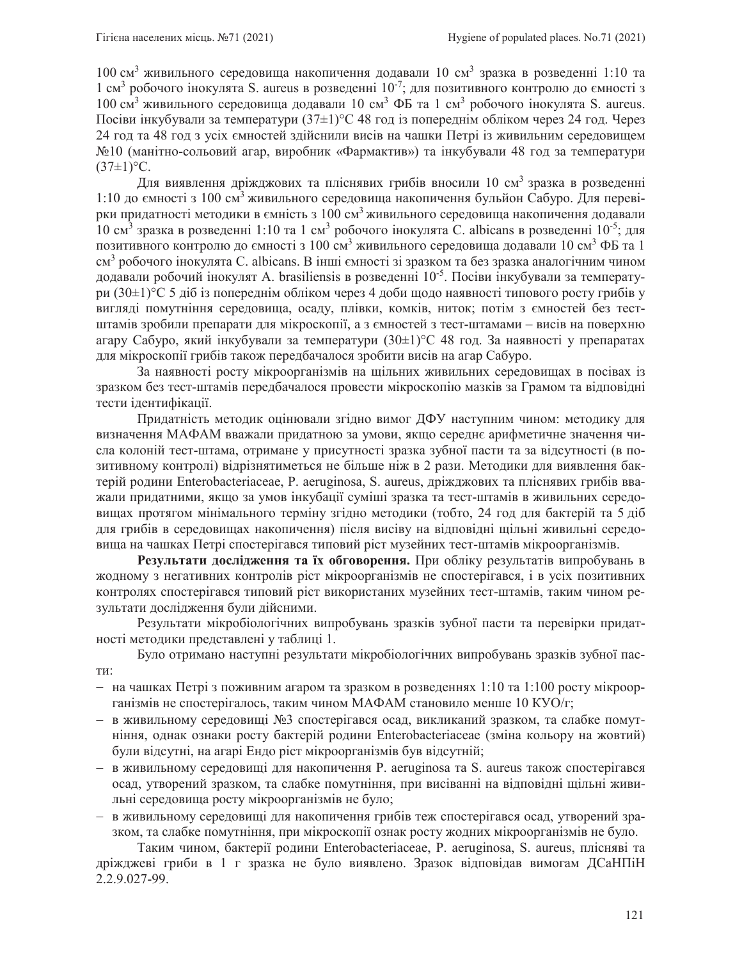100 см<sup>3</sup> живильного середовища накопичення додавали 10 см<sup>3</sup> зразка в розведенні 1:10 та 1 см<sup>3</sup> робочого інокулята S. aureus в розведенні  $10^{-7}$ ; для позитивного контролю до ємності з 100 см<sup>3</sup> живильного середовища додавали 10 см<sup>3</sup> ФБ та 1 см<sup>3</sup> робочого інокулята S. aureus. Посіви інкубували за температури (37±1) °С 48 год із попереднім обліком через 24 год. Через 24 год та 48 год з усіх ємностей здійснили висів на чашки Петрі із живильним середовищем №10 (манітно-сольовий агар, виробник «Фармактив») та інкубували 48 год за температури  $(37±1)$ °C.

Для виявлення дріжджових та пліснявих грибів вносили 10 см<sup>3</sup> зразка в розведенні 1:10 до ємності з 100 см<sup>3</sup> живильного середовища накопичення бульйон Сабуро. Для перевірки придатності методики в ємність з 100 см<sup>3</sup>живильного середовища накопичення додавали  $10 \text{ cm}^3$  зразка в розведенні 1:10 та 1 см<sup>3</sup> робочого інокулята С. albicans в розведенні 10<sup>-5</sup>; для позитивного контролю до ємності з 100 см<sup>3</sup> живильного середовища додавали 10 см<sup>3</sup> ФБ та 1  $cm<sup>3</sup>$  робочого інокулята C. albicans. В інші ємності зі зразком та без зразка аналогічним чином додавали робочий інокулят A. brasiliensis в розведенні  $10^{-5}$ . Посіви інкубували за температури (30±1) °С 5 діб із попереднім обліком через 4 доби щодо наявності типового росту грибів у вигляді помутніння середовища, осаду, плівки, комків, ниток; потім з ємностей без тестштамів зробили препарати для мікроскопії, а з ємностей з тест-штамами – висів на поверхню агару Сабуро, який інкубували за температури (30±1) °С 48 год. За наявності у препаратах для мікроскопії грибів також передбачалося зробити висів на агар Сабуро.

За наявності росту мікроорганізмів на щільних живильних середовищах в посівах із зразком без тест-штамів передбачалося провести мікроскопію мазків за Грамом та відповідні тести ідентифікації.

Придатність методик оцінювали згідно вимог ДФУ наступним чином: методику для визначення МАФАМ вважали придатною за умови, якщо середнє арифметичне значення числа колоній тест-штама, отримане у присутності зразка зубної пасти та за відсутності (в позитивному контролі) відрізнятиметься не більше ніж в 2 рази. Методики для виявлення бактерій родини Enterobacteriaceae, P. aeruginosa, S. aureus, дріжджових та пліснявих грибів вважали придатними, якщо за умов інкубації суміші зразка та тест-штамів в живильних середовищах протягом мінімального терміну згідно методики (тобто, 24 год для бактерій та 5 діб для грибів в середовищах накопичення) після висіву на відповідні щільні живильні середовища на чашках Петрі спостерігався типовий ріст музейних тест-штамів мікроорганізмів.

Результати дослідження та їх обговорення. При обліку результатів випробувань в жодному з негативних контролів ріст мікроорганізмів не спостерігався, і в усіх позитивних контролях спостерігався типовий ріст використаних музейних тест-штамів, таким чином результати дослідження були дійсними.

Результати мікробіологічних випробувань зразків зубної пасти та перевірки придатності методики представлені у таблиці 1.

Було отримано наступні результати мікробіологічних випробувань зразків зубної пас-TИ:

- на чашках Петрі з поживним агаром та зразком в розведеннях 1:10 та 1:100 росту мікроорганізмів не спостерігалось, таким чином МАФАМ становило менше 10 КУО/г;
- в живильному середовищі №3 спостерігався осад, викликаний зразком, та слабке помутніння, однак ознаки росту бактерій родини Enterobacteriaceae (зміна кольору на жовтий) були відсутні, на агарі Ендо ріст мікроорганізмів був відсутній;
- в живильному середовищі для накопичення P. aeruginosa та S. aureus також спостерігався осад, утворений зразком, та слабке помутніння, при висіванні на відповідні щільні живильні середовища росту мікроорганізмів не було;
- в живильному середовищі для накопичення грибів теж спостерігався осад, утворений зразком, та слабке помутніння, при мікроскопії ознак росту жодних мікроорганізмів не було.

Таким чином, бактерії родини Enterobacteriaceae, P. aeruginosa, S. aureus, плісняві та дріжджеві гриби в 1 г зразка не було виявлено. Зразок відповідав вимогам ДСаНПіН 2.2.9.027-99.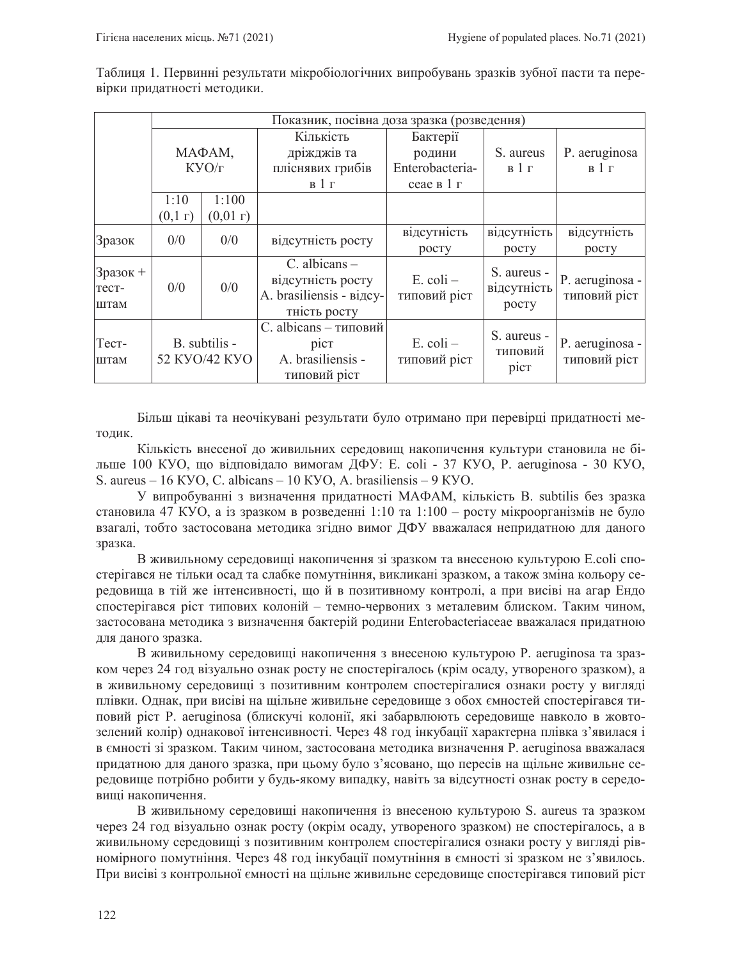|                              | Показник, посівна доза зразка (розведення) |        |                                                                                    |                               |                                     |                                 |
|------------------------------|--------------------------------------------|--------|------------------------------------------------------------------------------------|-------------------------------|-------------------------------------|---------------------------------|
|                              | МАФАМ,<br>KYO/r                            |        | Кількість                                                                          | Бактерії                      |                                     |                                 |
|                              |                                            |        | дріжджів та                                                                        | родини                        | S. aureus                           | P. aeruginosa                   |
|                              |                                            |        | пліснявих грибів                                                                   | Enterobacteria-               | B1r                                 | B1r                             |
|                              |                                            |        | B1r                                                                                | сеае в 1 г                    |                                     |                                 |
|                              | 1:10                                       | 1:100  |                                                                                    |                               |                                     |                                 |
|                              | (0,1)                                      | (0,01) |                                                                                    |                               |                                     |                                 |
| Зразок                       | 0/0                                        | 0/0    | відсутність росту                                                                  | відсутність                   | відсутність                         | відсутність                     |
|                              |                                            |        |                                                                                    | росту                         | росту                               | pocty                           |
| $3$ разок +<br>Tect-<br>штам | 0/0                                        | 0/0    | $C.$ albicans $-$<br>відсутність росту<br>A. brasiliensis - відсу-<br>тність росту | $E.$ coli $-$<br>типовий ріст | S. aureus -<br>відсутність<br>росту | P. aeruginosa -<br>типовий ріст |
| Tect-<br>штам                | B. subtilis -<br>52 KYO/42 KYO             |        | C. albicans - типовий<br>pic <sub>T</sub><br>A. brasiliensis -<br>типовий ріст     | $E.$ coli $-$<br>типовий ріст | S. aureus -<br>типовий<br>pict      | P. aeruginosa -<br>типовий ріст |

Таблиця 1. Первинні результати мікробіологічних випробувань зразків зубної пасти та перевірки придатності методики.

Більш цікаві та неочікувані результати було отримано при перевірці придатності методик.

Кількість внесеної до живильних середовищ накопичення культури становила не більше 100 KVO, що відповідало вимогам ДФУ: E. coli - 37 KVO, P. aeruginosa - 30 KVO, S. aureus – 16 KVO, C. albicans – 10 KVO, A. brasiliensis – 9 KVO.

У випробуванні з визначення придатності МАФАМ, кількість В. subtilis без зразка становила 47 KVO, а із зразком в розведенні 1:10 та 1:100 - росту мікроорганізмів не було взагалі, тобто застосована методика згідно вимог ДФУ вважалася непридатною для даного зразка.

В живильному середовищі накопичення зі зразком та внесеною культурою E.coli спостерігався не тільки осад та слабке помутніння, викликані зразком, а також зміна кольору середовища в тій же інтенсивності, що й в позитивному контролі, а при висіві на агар Ендо спостерігався ріст типових колоній - темно-червоних з металевим блиском. Таким чином, застосована методика з визначення бактерій родини Enterobacteriaceae вважалася придатною для даного зразка.

В живильному середовищі накопичення з внесеною культурою Р. aeruginosa та зразком через 24 год візуально ознак росту не спостерігалось (крім осаду, утвореного зразком), а в живильному середовищі з позитивним контролем спостерігалися ознаки росту у вигляді плівки. Однак, при висіві на щільне живильне середовище з обох ємностей спостерігався типовий ріст Р. aeruginosa (блискучі колонії, які забарвлюють середовище навколо в жовтозелений колір) однакової інтенсивності. Через 48 год інкубації характерна плівка з'явилася і в ємності зі зразком. Таким чином, застосована методика визначення P. aeruginosa вважалася придатною для даного зразка, при цьому було з'ясовано, що пересів на щільне живильне середовище потрібно робити у будь-якому випадку, навіть за відсутності ознак росту в середовищі накопичення.

В живильному середовищі накопичення із внесеною культурою S. aureus та зразком через 24 год візуально ознак росту (окрім осаду, утвореного зразком) не спостерігалось, а в живильному середовищі з позитивним контролем спостерігалися ознаки росту у вигляді рівномірного помутніння. Через 48 год інкубації помутніння в ємності зі зразком не з'явилось. При висіві з контрольної ємності на щільне живильне середовище спостерігався типовий ріст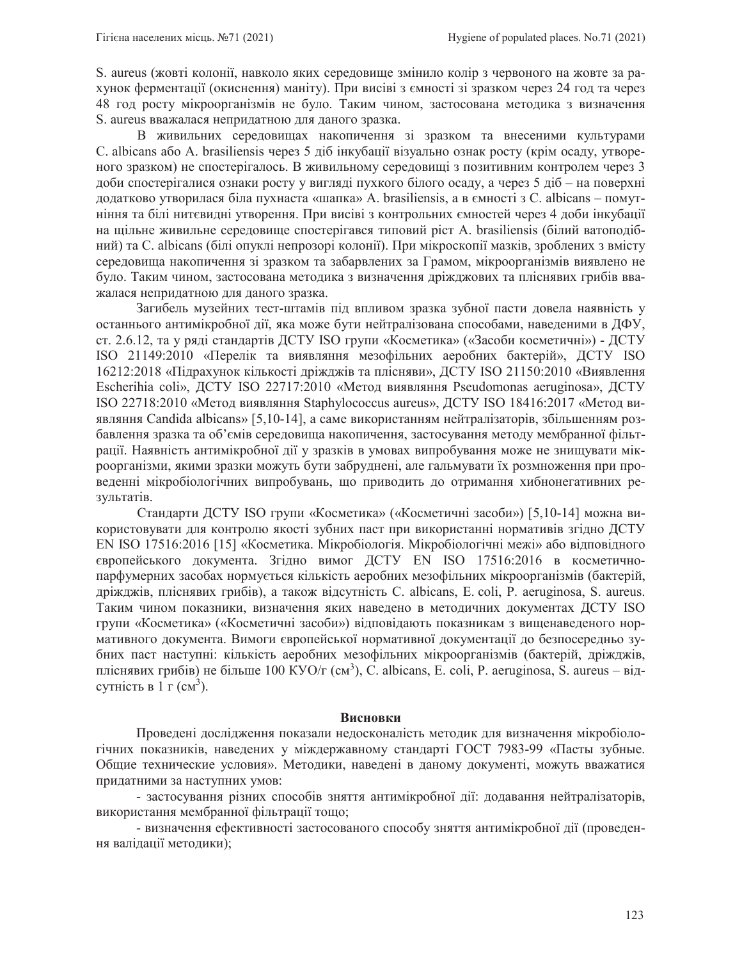S. aureus (жовті колонії, навколо яких середовище змінило колір з червоного на жовте за рахунок ферментації (окиснення) маніту). При висіві з ємності зі зразком через 24 год та через 48 год росту мікроорганізмів не було. Таким чином, застосована методика з визначення S. aureus вважалася непридатною для даного зразка.

В живильних середовищах накопичення зі зразком та внесеними культурами C. albicans або A. brasiliensis через 5 діб інкубації візуально ознак росту (крім осаду, утвореного зразком) не спостерігалось. В живильному середовищі з позитивним контролем через 3 доби спостерігалися ознаки росту у вигляді пухкого білого осаду, а через 5 діб – на поверхні додатково утворилася біла пухнаста «шапка» A. brasiliensis, а в ємності з C. albicans – помутніння та білі нитєвидні утворення. При висіві з контрольних ємностей через 4 доби інкубації на щільне живильне середовище спостерігався типовий ріст A. brasiliensis (білий ватоподіб ний) та C. albicans (білі опуклі непрозорі колонії). При мікроскопії мазків, зроблених з вмісту середовища накопичення зі зразком та забарвлених за Грамом, мікроорганізмів виявлено не було. Таким чином, застосована методика з визначення дріжджових та пліснявих грибів вважалася непридатною для даного зразка.

Загибель музейних тест-штамів під впливом зразка зубної пасти довела наявність у останнього антимікробної дії, яка може бути нейтралізована способами, наведеними в ДФУ, ст. 2.6.12, та у ряді стандартів ДСТУ ISO групи «Косметика» («Засоби косметичні») - ДСТУ ISO 21149:2010 «Перелік та виявляння мезофільних аеробних бактерій», ДСТУ ISO 16212:2018 «Підрахунок кількості дріжджів та плісняви», ДСТУ ISO 21150:2010 «Виявлення Escherihia coli», ДСТУ ISO 22717:2010 «Метод виявляння Pseudomonas aeruginosa», ДСТУ ISO 22718:2010 «Метод виявляння Staphylococcus aureus», ДСТУ ISO 18416:2017 «Метод виявляння Candida albicans» [5,10-14], а саме використанням нейтралізаторів, збільшенням розбавлення зразка та об'ємів середовища накопичення, застосування методу мембранної фільтрації. Наявність антимікробної дії у зразків в умовах випробування може не знищувати мікроорганізми, якими зразки можуть бути забруднені, але гальмувати їх розмноження при проведенні мікробіологічних випробувань, що приводить до отримання хибнонегативних результатів.

Стандарти ДСТУ ISO групи «Косметика» («Косметичні засоби») [5,10-14] можна використовувати для контролю якості зубних паст при використанні нормативів згідно ДСТУ EN ISO 17516:2016 [15] «Косметика. Мікробіологія. Мікробіологічні межі» або відповідного європейського документа. Згідно вимог ДСТУ EN ISO 17516:2016 в косметичнопарфумерних засобах нормується кількість аеробних мезофільних мікроорганізмів (бактерій, дріжджів, пліснявих грибів), а також відсутність С. albicans, E. coli, P. aeruginosa, S. aureus. Таким чином показники, визначення яких наведено в методичних документах ДСТУ ISO групи «Косметика» («Косметичні засоби») відповідають показникам з вищенаведеного нормативного документа. Вимоги європейської нормативної документації до безпосередньо зубних паст наступні: кількість аеробних мезофільних мікроорганізмів (бактерій, дріжджів, пліснявих грибів) не більше 100 КУО/г (см<sup>3</sup>), C. albicans, E. coli, P. aeruginosa, S. aureus – відсутність в  $1 \text{ r } (\text{cm}^3)$ .

#### Висновки

Проведені дослідження показали недосконалість методик для визначення мікробіологічних показників, наведених у міждержавному стандарті ГОСТ 7983-99 «Пасты зубные. Общие технические условия». Методики, наведені в даному документі, можуть вважатися придатними за наступних умов:

- застосування різних способів зняття антимікробної дії: додавання нейтралізаторів, використання мембранної фільтрації тощо;

- визначення ефективності застосованого способу зняття антимікробної дії (проведення валідації методики);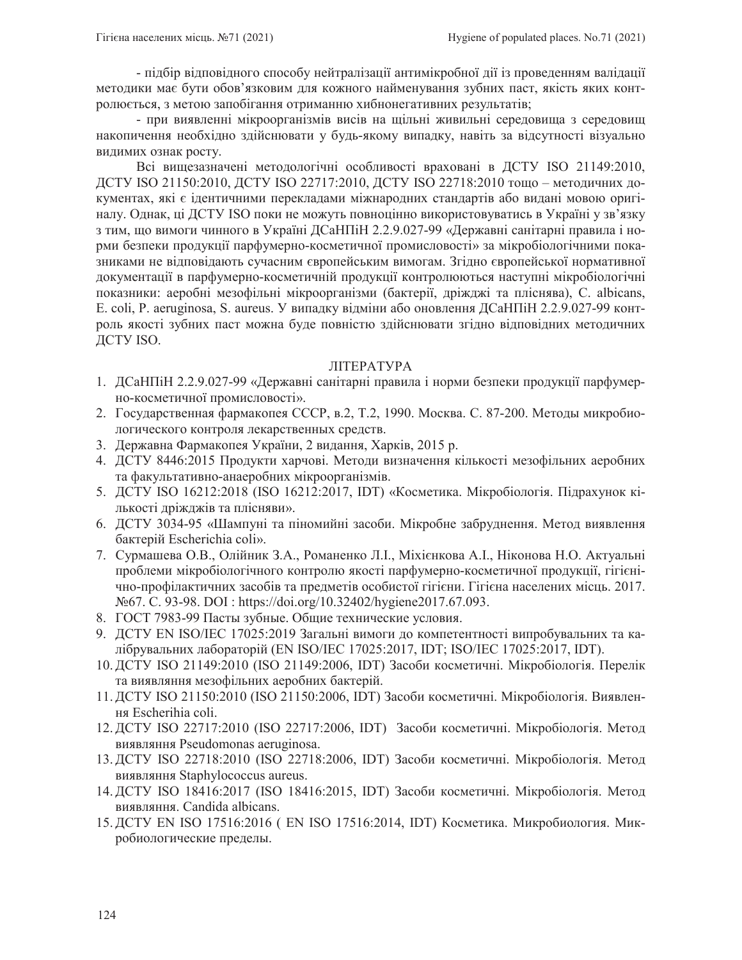- підбір відповідного способу нейтралізації антимікробної дії із проведенням валідації методики має бути обов'язковим для кожного найменування зубних паст, якість яких контролюється, з метою запобігання отриманню хибнонегативних результатів;

- при виявленні мікроорганізмів висів на щільні живильні середовища з середовищ накопичення необхідно здійснювати у будь-якому випадку, навіть за відсутності візуально видимих ознак росту.

Всі вищезазначені методологічні особливості враховані в ДСТУ ISO 21149:2010, ДСТУ ISO 21150:2010, ДСТУ ISO 22717:2010, ДСТУ ISO 22718:2010 тощо – методичних документах, які є ідентичними перекладами міжнародних стандартів або видані мовою оригіналу. Однак, ці ДСТУ ISO поки не можуть повноцінно використовуватись в Україні у зв'язку з тим, що вимоги чинного в Україні ДСаНПіН 2.2.9.027-99 «Державні санітарні правила і норми безпеки продукції парфумерно-косметичної промисловості» за мікробіологічними показниками не відповідають сучасним європейським вимогам. Згідно європейської нормативної документації в парфумерно-косметичній продукції контролюються наступні мікробіологічні показники: аеробні мезофільні мікроорганізми (бактерії, дріжджі та пліснява), C. albicans, E. coli, P. aeruginosa, S. aureus. У випадку відміни або оновлення ДСаНПіН 2.2.9.027-99 контроль якості зубних паст можна буде повністю здійснювати згідно відповідних методичних ДСТУ ISO.

## ЛІТЕРАТУРА

- 1. ДСаНПіН 2.2.9.027-99 «Державні санітарні правила і норми безпеки продукції парфумерно-косметичної промисловості».
- 2. Государственная фармакопея СССР, в.2, Т.2, 1990. Москва. С. 87-200. Методы микробиологического контроля лекарственных средств.
- 3. Державна Фармакопея України, 2 видання, Харків, 2015 р.
- 4. ДСТУ 8446:2015 Продукти харчові. Методи визначення кількості мезофільних аеробних та факультативно-анаеробних мікроорганізмів.
- 5. ДСТУ ISO 16212:2018 (ISO 16212:2017, IDT) «Косметика. Мікробіологія. Підрахунок кількості дріжджів та плісняви».
- 6. ДСТУ 3034-95 «Шампуні та піномийні засоби. Мікробне забруднення. Метод виявлення бактерій Escherichia coli».
- 7. Сурмашева О.В., Олійник З.А., Романенко Л.І., Міхієнкова А.І., Ніконова Н.О. Актуальні проблеми мікробіологічного контролю якості парфумерно-косметичної продукції, гігієнічно-профілактичних засобів та предметів особистої гігієни. Гігієна населених місць. 2017. No 67. C. 93-98. DOI : https://doi.org/10.32402/hygiene2017.67.093.
- 8. ГОСТ 7983-99 Пасты зубные. Общие технические условия.
- 9. ДСТУ EN ISO/IEC 17025:2019 Загальні вимоги до компетентності випробувальних та калібрувальних лабораторій (EN ISO/IEC 17025:2017, IDT; ISO/IEC 17025:2017, IDT).
- 10. ДСТУ ISO 21149:2010 (ISO 21149:2006, IDT) Засоби косметичні. Мікробіологія. Перелік та виявляння мезофільних аеробних бактерій.
- 11. ДСТУ ISO 21150:2010 (ISO 21150:2006, IDT) Засоби косметичні. Мікробіологія. Виявлення Escherihia coli.
- 12. ДСТУ ISO 22717:2010 (ISO 22717:2006, IDT) Засоби косметичні. Мікробіологія. Метод виявляння Pseudomonas aeruginosa.
- 13. ДСТУ ISO 22718:2010 (ISO 22718:2006, IDT) Засоби косметичні. Мікробіологія. Метод виявляння Staphylococcus aureus.
- 14. ДСТУ ISO 18416:2017 (ISO 18416:2015, IDT) Засоби косметичні. Мікробіологія. Метод виявляння. Candida albicans.
- 15. ДСТУ EN ISO 17516:2016 (EN ISO 17516:2014, IDT) Косметика. Микробиология. Микробиологические пределы.